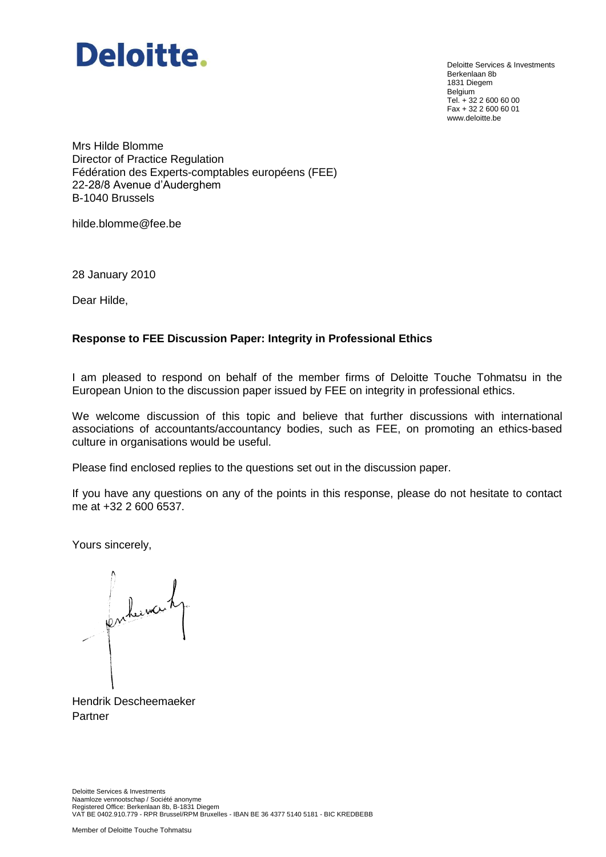

Deloitte Services & Investments Berkenlaan 8b 1831 Diegem Belgium Tel. + 32 2 600 60 00 Fax + 32 2 600 60 01 www.deloitte.be

Mrs Hilde Blomme Director of Practice Regulation Fédération des Experts-comptables européens (FEE) 22-28/8 Avenue d'Auderghem B-1040 Brussels

hilde.blomme@fee.be

28 January 2010

Dear Hilde,

#### **Response to FEE Discussion Paper: Integrity in Professional Ethics**

I am pleased to respond on behalf of the member firms of Deloitte Touche Tohmatsu in the European Union to the discussion paper issued by FEE on integrity in professional ethics.

We welcome discussion of this topic and believe that further discussions with international associations of accountants/accountancy bodies, such as FEE, on promoting an ethics-based culture in organisations would be useful.

Please find enclosed replies to the questions set out in the discussion paper.

If you have any questions on any of the points in this response, please do not hesitate to contact me at +32 2 600 6537.

Yours sincerely,

en benoi

Hendrik Descheemaeker Partner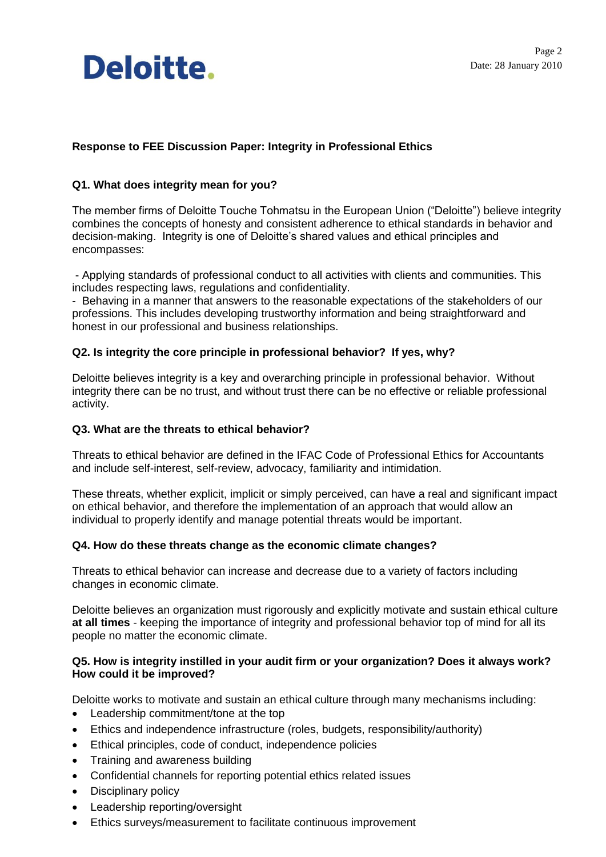## **Response to FEE Discussion Paper: Integrity in Professional Ethics**

## **Q1. What does integrity mean for you?**

The member firms of Deloitte Touche Tohmatsu in the European Union ("Deloitte") believe integrity combines the concepts of honesty and consistent adherence to ethical standards in behavior and decision-making. Integrity is one of Deloitte's shared values and ethical principles and encompasses:

- Applying standards of professional conduct to all activities with clients and communities. This includes respecting laws, regulations and confidentiality.

- Behaving in a manner that answers to the reasonable expectations of the stakeholders of our professions. This includes developing trustworthy information and being straightforward and honest in our professional and business relationships.

## **Q2. Is integrity the core principle in professional behavior? If yes, why?**

Deloitte believes integrity is a key and overarching principle in professional behavior. Without integrity there can be no trust, and without trust there can be no effective or reliable professional activity.

## **Q3. What are the threats to ethical behavior?**

Threats to ethical behavior are defined in the IFAC Code of Professional Ethics for Accountants and include self-interest, self-review, advocacy, familiarity and intimidation.

These threats, whether explicit, implicit or simply perceived, can have a real and significant impact on ethical behavior, and therefore the implementation of an approach that would allow an individual to properly identify and manage potential threats would be important.

## **Q4. How do these threats change as the economic climate changes?**

Threats to ethical behavior can increase and decrease due to a variety of factors including changes in economic climate.

Deloitte believes an organization must rigorously and explicitly motivate and sustain ethical culture **at all times** - keeping the importance of integrity and professional behavior top of mind for all its people no matter the economic climate.

#### **Q5. How is integrity instilled in your audit firm or your organization? Does it always work? How could it be improved?**

Deloitte works to motivate and sustain an ethical culture through many mechanisms including:

- Leadership commitment/tone at the top
- Ethics and independence infrastructure (roles, budgets, responsibility/authority)
- Ethical principles, code of conduct, independence policies
- Training and awareness building
- Confidential channels for reporting potential ethics related issues
- Disciplinary policy
- Leadership reporting/oversight
- Ethics surveys/measurement to facilitate continuous improvement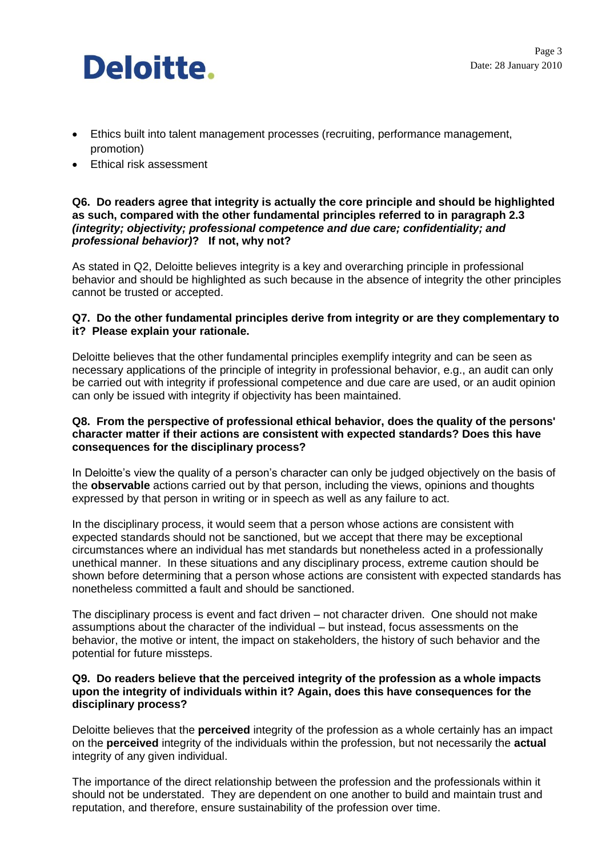- Ethics built into talent management processes (recruiting, performance management, promotion)
- Ethical risk assessment

#### **Q6. Do readers agree that integrity is actually the core principle and should be highlighted as such, compared with the other fundamental principles referred to in paragraph 2.3** *(integrity; objectivity; professional competence and due care; confidentiality; and professional behavior)***? If not, why not?**

As stated in Q2, Deloitte believes integrity is a key and overarching principle in professional behavior and should be highlighted as such because in the absence of integrity the other principles cannot be trusted or accepted.

## **Q7. Do the other fundamental principles derive from integrity or are they complementary to it? Please explain your rationale.**

Deloitte believes that the other fundamental principles exemplify integrity and can be seen as necessary applications of the principle of integrity in professional behavior, e.g., an audit can only be carried out with integrity if professional competence and due care are used, or an audit opinion can only be issued with integrity if objectivity has been maintained.

### **Q8. From the perspective of professional ethical behavior, does the quality of the persons' character matter if their actions are consistent with expected standards? Does this have consequences for the disciplinary process?**

In Deloitte's view the quality of a person's character can only be judged objectively on the basis of the **observable** actions carried out by that person, including the views, opinions and thoughts expressed by that person in writing or in speech as well as any failure to act.

In the disciplinary process, it would seem that a person whose actions are consistent with expected standards should not be sanctioned, but we accept that there may be exceptional circumstances where an individual has met standards but nonetheless acted in a professionally unethical manner. In these situations and any disciplinary process, extreme caution should be shown before determining that a person whose actions are consistent with expected standards has nonetheless committed a fault and should be sanctioned.

The disciplinary process is event and fact driven – not character driven. One should not make assumptions about the character of the individual – but instead, focus assessments on the behavior, the motive or intent, the impact on stakeholders, the history of such behavior and the potential for future missteps.

#### **Q9. Do readers believe that the perceived integrity of the profession as a whole impacts upon the integrity of individuals within it? Again, does this have consequences for the disciplinary process?**

Deloitte believes that the **perceived** integrity of the profession as a whole certainly has an impact on the **perceived** integrity of the individuals within the profession, but not necessarily the **actual** integrity of any given individual.

The importance of the direct relationship between the profession and the professionals within it should not be understated. They are dependent on one another to build and maintain trust and reputation, and therefore, ensure sustainability of the profession over time.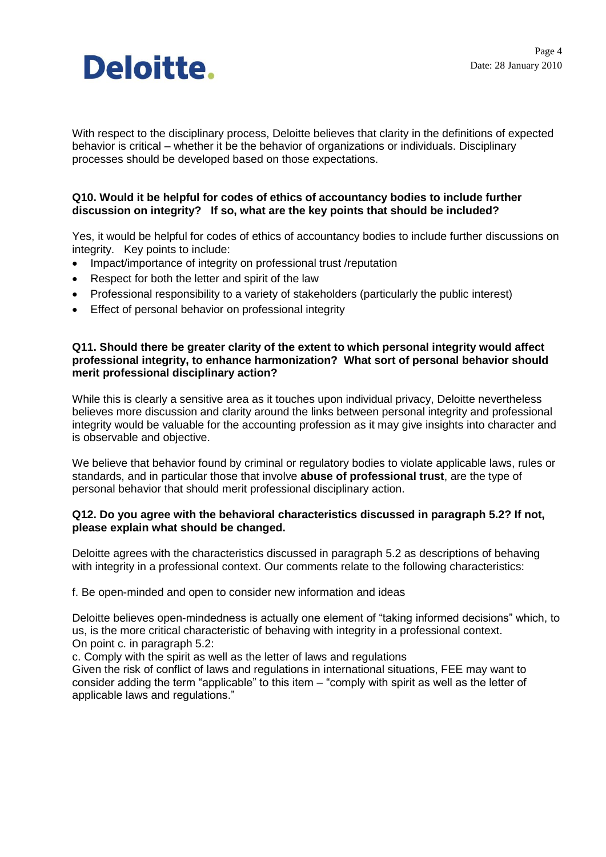

With respect to the disciplinary process, Deloitte believes that clarity in the definitions of expected behavior is critical – whether it be the behavior of organizations or individuals. Disciplinary processes should be developed based on those expectations.

## **Q10. Would it be helpful for codes of ethics of accountancy bodies to include further discussion on integrity? If so, what are the key points that should be included?**

Yes, it would be helpful for codes of ethics of accountancy bodies to include further discussions on integrity. Key points to include:

- Impact/importance of integrity on professional trust /reputation
- Respect for both the letter and spirit of the law
- Professional responsibility to a variety of stakeholders (particularly the public interest)
- Effect of personal behavior on professional integrity

#### **Q11. Should there be greater clarity of the extent to which personal integrity would affect professional integrity, to enhance harmonization? What sort of personal behavior should merit professional disciplinary action?**

While this is clearly a sensitive area as it touches upon individual privacy, Deloitte nevertheless believes more discussion and clarity around the links between personal integrity and professional integrity would be valuable for the accounting profession as it may give insights into character and is observable and objective.

We believe that behavior found by criminal or regulatory bodies to violate applicable laws, rules or standards, and in particular those that involve **abuse of professional trust**, are the type of personal behavior that should merit professional disciplinary action.

#### **Q12. Do you agree with the behavioral characteristics discussed in paragraph 5.2? If not, please explain what should be changed.**

Deloitte agrees with the characteristics discussed in paragraph 5.2 as descriptions of behaving with integrity in a professional context. Our comments relate to the following characteristics:

f. Be open-minded and open to consider new information and ideas

Deloitte believes open-mindedness is actually one element of "taking informed decisions" which, to us, is the more critical characteristic of behaving with integrity in a professional context. On point c. in paragraph 5.2:

c. Comply with the spirit as well as the letter of laws and regulations

Given the risk of conflict of laws and regulations in international situations, FEE may want to consider adding the term "applicable" to this item – "comply with spirit as well as the letter of applicable laws and regulations."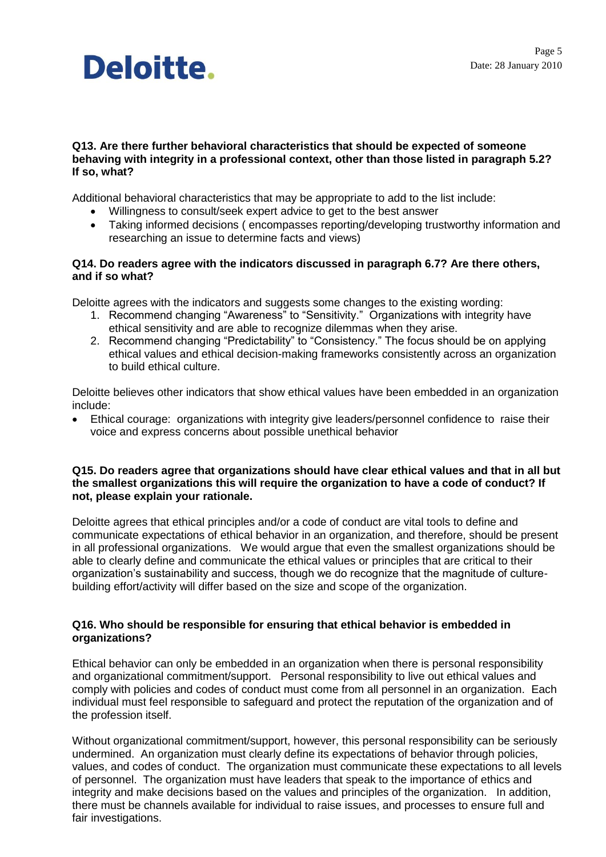#### **Q13. Are there further behavioral characteristics that should be expected of someone behaving with integrity in a professional context, other than those listed in paragraph 5.2? If so, what?**

Additional behavioral characteristics that may be appropriate to add to the list include:

- Willingness to consult/seek expert advice to get to the best answer
- Taking informed decisions ( encompasses reporting/developing trustworthy information and researching an issue to determine facts and views)

## **Q14. Do readers agree with the indicators discussed in paragraph 6.7? Are there others, and if so what?**

Deloitte agrees with the indicators and suggests some changes to the existing wording:

- 1. Recommend changing "Awareness" to "Sensitivity." Organizations with integrity have ethical sensitivity and are able to recognize dilemmas when they arise.
- 2. Recommend changing "Predictability" to "Consistency." The focus should be on applying ethical values and ethical decision-making frameworks consistently across an organization to build ethical culture.

Deloitte believes other indicators that show ethical values have been embedded in an organization include:

 Ethical courage: organizations with integrity give leaders/personnel confidence to raise their voice and express concerns about possible unethical behavior

#### **Q15. Do readers agree that organizations should have clear ethical values and that in all but the smallest organizations this will require the organization to have a code of conduct? If not, please explain your rationale.**

Deloitte agrees that ethical principles and/or a code of conduct are vital tools to define and communicate expectations of ethical behavior in an organization, and therefore, should be present in all professional organizations. We would argue that even the smallest organizations should be able to clearly define and communicate the ethical values or principles that are critical to their organization's sustainability and success, though we do recognize that the magnitude of culturebuilding effort/activity will differ based on the size and scope of the organization.

## **Q16. Who should be responsible for ensuring that ethical behavior is embedded in organizations?**

Ethical behavior can only be embedded in an organization when there is personal responsibility and organizational commitment/support. Personal responsibility to live out ethical values and comply with policies and codes of conduct must come from all personnel in an organization. Each individual must feel responsible to safeguard and protect the reputation of the organization and of the profession itself.

Without organizational commitment/support, however, this personal responsibility can be seriously undermined. An organization must clearly define its expectations of behavior through policies, values, and codes of conduct. The organization must communicate these expectations to all levels of personnel. The organization must have leaders that speak to the importance of ethics and integrity and make decisions based on the values and principles of the organization. In addition, there must be channels available for individual to raise issues, and processes to ensure full and fair investigations.